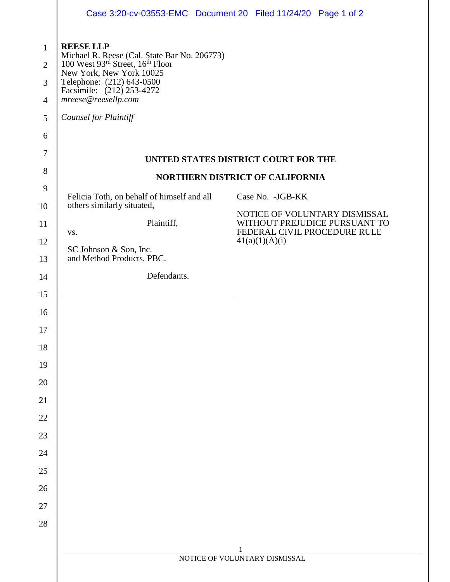|                     | Case 3:20-cv-03553-EMC Document 20 Filed 11/24/20 Page 1 of 2                                                            |                                                               |  |  |
|---------------------|--------------------------------------------------------------------------------------------------------------------------|---------------------------------------------------------------|--|--|
| $\mathbf{1}$        | <b>REESE LLP</b>                                                                                                         |                                                               |  |  |
| $\overline{2}$      | Michael R. Reese (Cal. State Bar No. 206773)<br>100 West 93rd Street, 16 <sup>th</sup> Floor<br>New York, New York 10025 |                                                               |  |  |
| 3<br>$\overline{4}$ | Telephone: (212) 643-0500<br>Facsimile: (212) 253-4272<br>mreese@reesellp.com                                            |                                                               |  |  |
| 5                   | Counsel for Plaintiff                                                                                                    |                                                               |  |  |
| 6                   |                                                                                                                          |                                                               |  |  |
| $\tau$              | UNITED STATES DISTRICT COURT FOR THE                                                                                     |                                                               |  |  |
| 8                   | NORTHERN DISTRICT OF CALIFORNIA                                                                                          |                                                               |  |  |
| 9                   | Felicia Toth, on behalf of himself and all                                                                               | Case No. - JGB-KK                                             |  |  |
| 10                  | others similarly situated,                                                                                               | NOTICE OF VOLUNTARY DISMISSAL                                 |  |  |
| 11                  | Plaintiff,<br>VS.                                                                                                        | WITHOUT PREJUDICE PURSUANT TO<br>FEDERAL CIVIL PROCEDURE RULE |  |  |
| 12                  | 41(a)(1)(A)(i)<br>SC Johnson & Son, Inc.                                                                                 |                                                               |  |  |
| 13                  | and Method Products, PBC.                                                                                                |                                                               |  |  |
| 14                  | Defendants.                                                                                                              |                                                               |  |  |
| 15                  |                                                                                                                          |                                                               |  |  |
| 16                  |                                                                                                                          |                                                               |  |  |
| 17                  |                                                                                                                          |                                                               |  |  |
| 18                  |                                                                                                                          |                                                               |  |  |
| 19<br>20            |                                                                                                                          |                                                               |  |  |
| 21                  |                                                                                                                          |                                                               |  |  |
| 22                  |                                                                                                                          |                                                               |  |  |
| 23                  |                                                                                                                          |                                                               |  |  |
| 24                  |                                                                                                                          |                                                               |  |  |
| 25                  |                                                                                                                          |                                                               |  |  |
| 26                  |                                                                                                                          |                                                               |  |  |
| $27\,$              |                                                                                                                          |                                                               |  |  |
| 28                  |                                                                                                                          |                                                               |  |  |
|                     |                                                                                                                          |                                                               |  |  |
|                     |                                                                                                                          | NOTICE OF VOLUNTARY DISMISSAL                                 |  |  |
|                     |                                                                                                                          |                                                               |  |  |